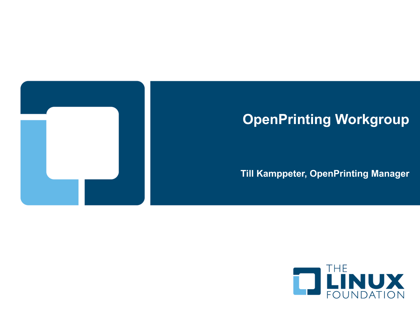

# **OpenPrinting Workgroup**

#### **Till Kamppeter, OpenPrinting Manager**

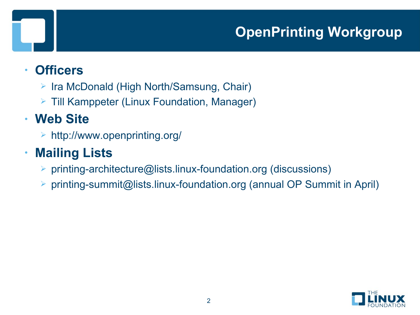# **OpenPrinting Workgroup**

#### • **Officers**

- $\triangleright$  Ira McDonald (High North/Samsung, Chair)
- **Fill Kamppeter (Linux Foundation, Manager)**

#### • **Web Site**

http://www.openprinting.org/

# • **Mailing Lists**

- printing-architecture@lists.linux-foundation.org (discussions)
- printing-summit@lists.linux-foundation.org (annual OP Summit in April)

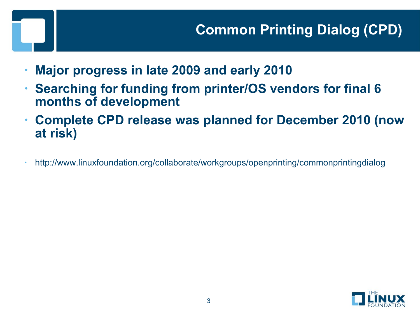- **Major progress in late 2009 and early 2010**
- **Searching for funding from printer/OS vendors for final 6 months of development**
- **Complete CPD release was planned for December 2010 (now at risk)**
- http://www.linuxfoundation.org/collaborate/workgroups/openprinting/commonprintingdialog

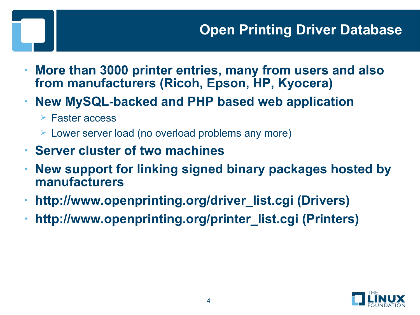- **More than 3000 printer entries, many from users and also from manufacturers (Ricoh, Epson, HP, Kyocera)**
- **New MySQL-backed and PHP based web application**
	- Faster access
	- Lower server load (no overload problems any more)
- **Server cluster of two machines**
- **New support for linking signed binary packages hosted by manufacturers**
- **http://www.openprinting.org/driver\_list.cgi (Drivers)**
- **http://www.openprinting.org/printer\_list.cgi (Printers)**

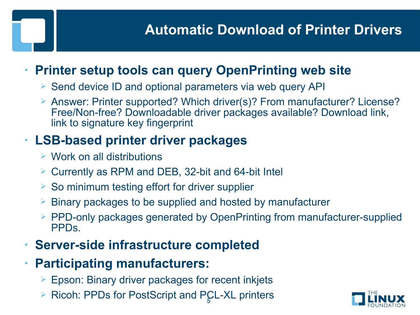# **Automatic Download of Printer Drivers**

#### • **Printer setup tools can query OpenPrinting web site**

- $\triangleright$  Send device ID and optional parameters via web query API
- Answer: Printer supported? Which driver(s)? From manufacturer? License? Free/Non-free? Downloadable driver packages available? Download link, link to signature key fingerprint

#### • **LSB-based printer driver packages**

- $\triangleright$  Work on all distributions
- Currently as RPM and DEB, 32-bit and 64-bit Intel
- $\triangleright$  So minimum testing effort for driver supplier
- $\triangleright$  Binary packages to be supplied and hosted by manufacturer
- $\triangleright$  PPD-only packages generated by OpenPrinting from manufacturer-supplied PPDs.
- **Server-side infrastructure completed**
- **Participating manufacturers:**
	- $\triangleright$  Epson: Binary driver packages for recent inkjets
	- ▶ Ricoh: PPDs for PostScript and PCL-XL printers